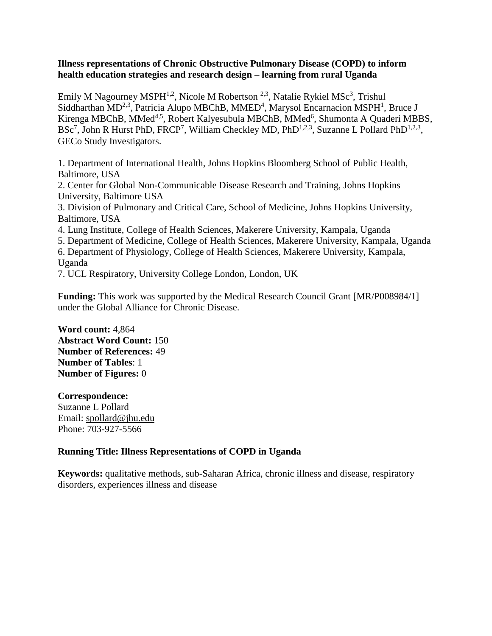## **Illness representations of Chronic Obstructive Pulmonary Disease (COPD) to inform health education strategies and research design – learning from rural Uganda**

Emily M Nagourney MSPH<sup>1,2</sup>, Nicole M Robertson<sup>2,3</sup>, Natalie Rykiel MSc<sup>3</sup>, Trishul Siddharthan  $MD^{2,3}$ , Patricia Alupo MBChB, MMED<sup>4</sup>, Marysol Encarnacion MSPH<sup>1</sup>, Bruce J Kirenga MBChB, MMed<sup>4,5</sup>, Robert Kalyesubula MBChB, MMed<sup>6</sup>, Shumonta A Quaderi MBBS,  $BSc<sup>7</sup>$ , John R Hurst PhD, FRCP<sup>7</sup>, William Checkley MD, PhD<sup>1,2,3</sup>, Suzanne L Pollard PhD<sup>1,2,3</sup>, GECo Study Investigators.

1. Department of International Health, Johns Hopkins Bloomberg School of Public Health, Baltimore, USA

2. Center for Global Non-Communicable Disease Research and Training, Johns Hopkins University, Baltimore USA

3. Division of Pulmonary and Critical Care, School of Medicine, Johns Hopkins University, Baltimore, USA

4. Lung Institute, College of Health Sciences, Makerere University, Kampala, Uganda

5. Department of Medicine, College of Health Sciences, Makerere University, Kampala, Uganda 6. Department of Physiology, College of Health Sciences, Makerere University, Kampala, Uganda

7. UCL Respiratory, University College London, London, UK

**Funding:** This work was supported by the Medical Research Council Grant [MR/P008984/1] under the Global Alliance for Chronic Disease.

**Word count:** 4,864 **Abstract Word Count:** 150 **Number of References:** 49 **Number of Tables**: 1 **Number of Figures:** 0

**Correspondence:** Suzanne L Pollard Email: [spollard@jhu.edu](mailto:enagourney@gmail.com) Phone: 703-927-5566

# **Running Title: Illness Representations of COPD in Uganda**

**Keywords:** qualitative methods, sub-Saharan Africa, chronic illness and disease, respiratory disorders, experiences illness and disease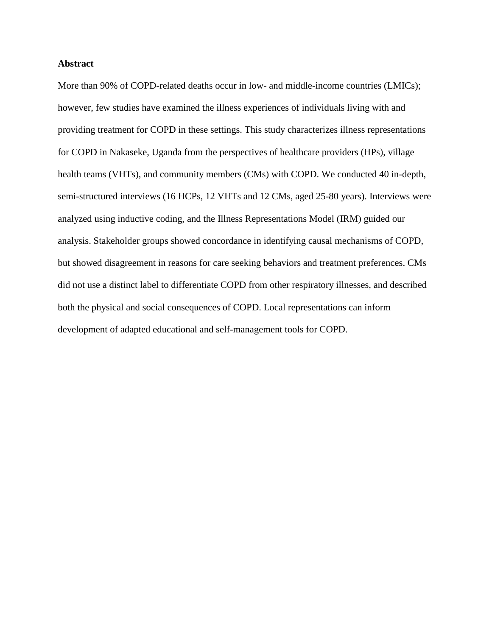## **Abstract**

More than 90% of COPD-related deaths occur in low- and middle-income countries (LMICs); however, few studies have examined the illness experiences of individuals living with and providing treatment for COPD in these settings. This study characterizes illness representations for COPD in Nakaseke, Uganda from the perspectives of healthcare providers (HPs), village health teams (VHTs), and community members (CMs) with COPD. We conducted 40 in-depth, semi-structured interviews (16 HCPs, 12 VHTs and 12 CMs, aged 25-80 years). Interviews were analyzed using inductive coding, and the Illness Representations Model (IRM) guided our analysis. Stakeholder groups showed concordance in identifying causal mechanisms of COPD, but showed disagreement in reasons for care seeking behaviors and treatment preferences. CMs did not use a distinct label to differentiate COPD from other respiratory illnesses, and described both the physical and social consequences of COPD. Local representations can inform development of adapted educational and self-management tools for COPD.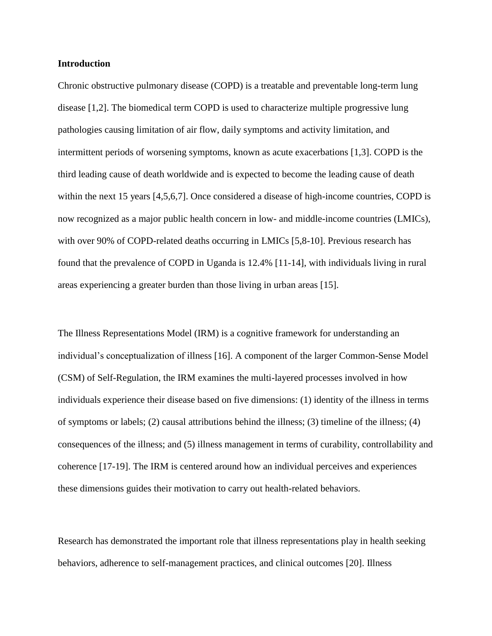### **Introduction**

Chronic obstructive pulmonary disease (COPD) is a treatable and preventable long-term lung disease [1,2]. The biomedical term COPD is used to characterize multiple progressive lung pathologies causing limitation of air flow, daily symptoms and activity limitation, and intermittent periods of worsening symptoms, known as acute exacerbations [1,3]. COPD is the third leading cause of death worldwide and is expected to become the leading cause of death within the next 15 years [4,5,6,7]. Once considered a disease of high-income countries, COPD is now recognized as a major public health concern in low- and middle-income countries (LMICs), with over 90% of COPD-related deaths occurring in LMICs [5,8-10]. Previous research has found that the prevalence of COPD in Uganda is 12.4% [11-14], with individuals living in rural areas experiencing a greater burden than those living in urban areas [15].

The Illness Representations Model (IRM) is a cognitive framework for understanding an individual's conceptualization of illness [16]. A component of the larger Common-Sense Model (CSM) of Self-Regulation, the IRM examines the multi-layered processes involved in how individuals experience their disease based on five dimensions: (1) identity of the illness in terms of symptoms or labels; (2) causal attributions behind the illness; (3) timeline of the illness; (4) consequences of the illness; and (5) illness management in terms of curability, controllability and coherence [17-19]. The IRM is centered around how an individual perceives and experiences these dimensions guides their motivation to carry out health-related behaviors.

Research has demonstrated the important role that illness representations play in health seeking behaviors, adherence to self-management practices, and clinical outcomes [20]. Illness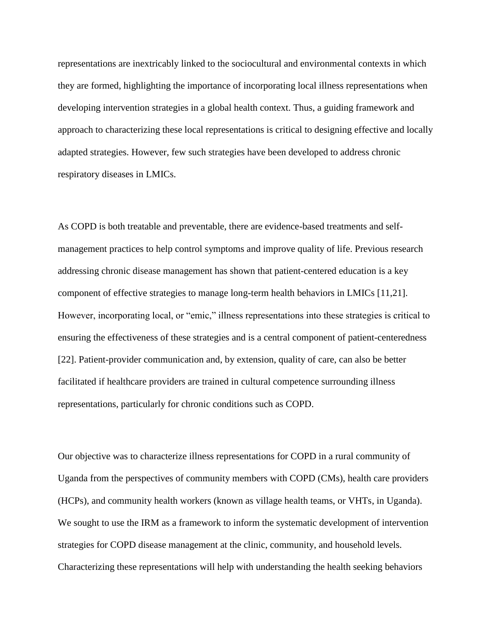representations are inextricably linked to the sociocultural and environmental contexts in which they are formed, highlighting the importance of incorporating local illness representations when developing intervention strategies in a global health context. Thus, a guiding framework and approach to characterizing these local representations is critical to designing effective and locally adapted strategies. However, few such strategies have been developed to address chronic respiratory diseases in LMICs.

As COPD is both treatable and preventable, there are evidence-based treatments and selfmanagement practices to help control symptoms and improve quality of life. Previous research addressing chronic disease management has shown that patient-centered education is a key component of effective strategies to manage long-term health behaviors in LMICs [11,21]. However, incorporating local, or "emic," illness representations into these strategies is critical to ensuring the effectiveness of these strategies and is a central component of patient-centeredness [22]. Patient-provider communication and, by extension, quality of care, can also be better facilitated if healthcare providers are trained in cultural competence surrounding illness representations, particularly for chronic conditions such as COPD.

Our objective was to characterize illness representations for COPD in a rural community of Uganda from the perspectives of community members with COPD (CMs), health care providers (HCPs), and community health workers (known as village health teams, or VHTs, in Uganda). We sought to use the IRM as a framework to inform the systematic development of intervention strategies for COPD disease management at the clinic, community, and household levels. Characterizing these representations will help with understanding the health seeking behaviors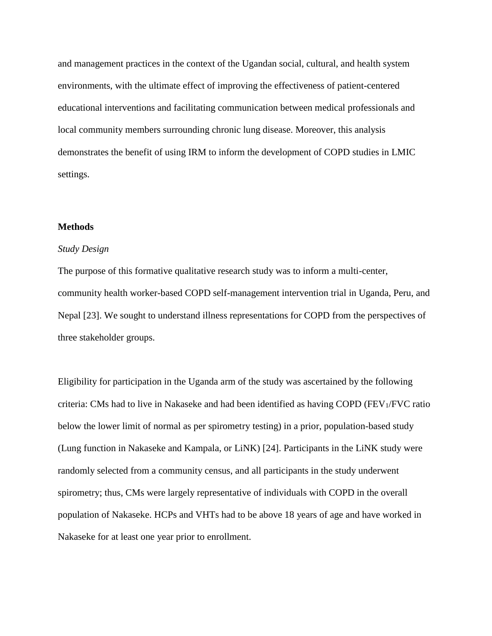and management practices in the context of the Ugandan social, cultural, and health system environments, with the ultimate effect of improving the effectiveness of patient-centered educational interventions and facilitating communication between medical professionals and local community members surrounding chronic lung disease. Moreover, this analysis demonstrates the benefit of using IRM to inform the development of COPD studies in LMIC settings.

## **Methods**

## *Study Design*

The purpose of this formative qualitative research study was to inform a multi-center, community health worker-based COPD self-management intervention trial in Uganda, Peru, and Nepal [23]. We sought to understand illness representations for COPD from the perspectives of three stakeholder groups.

Eligibility for participation in the Uganda arm of the study was ascertained by the following criteria: CMs had to live in Nakaseke and had been identified as having COPD (FEV1/FVC ratio below the lower limit of normal as per spirometry testing) in a prior, population-based study (Lung function in Nakaseke and Kampala, or LiNK) [24]. Participants in the LiNK study were randomly selected from a community census, and all participants in the study underwent spirometry; thus, CMs were largely representative of individuals with COPD in the overall population of Nakaseke. HCPs and VHTs had to be above 18 years of age and have worked in Nakaseke for at least one year prior to enrollment.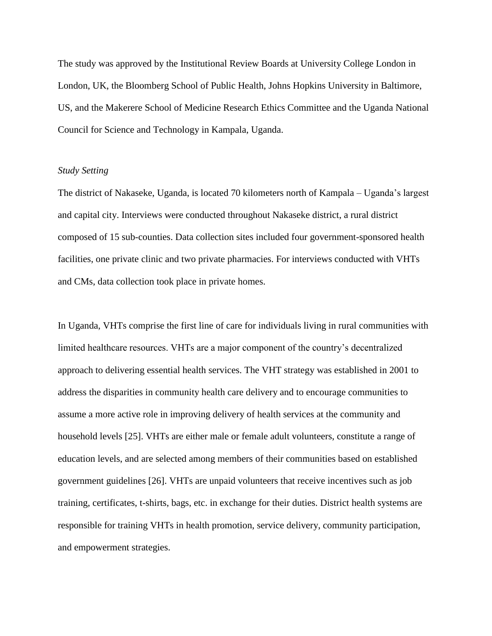The study was approved by the Institutional Review Boards at University College London in London, UK, the Bloomberg School of Public Health, Johns Hopkins University in Baltimore, US, and the Makerere School of Medicine Research Ethics Committee and the Uganda National Council for Science and Technology in Kampala, Uganda.

#### *Study Setting*

The district of Nakaseke, Uganda, is located 70 kilometers north of Kampala – Uganda's largest and capital city. Interviews were conducted throughout Nakaseke district, a rural district composed of 15 sub-counties. Data collection sites included four government-sponsored health facilities, one private clinic and two private pharmacies. For interviews conducted with VHTs and CMs, data collection took place in private homes.

In Uganda, VHTs comprise the first line of care for individuals living in rural communities with limited healthcare resources. VHTs are a major component of the country's decentralized approach to delivering essential health services. The VHT strategy was established in 2001 to address the disparities in community health care delivery and to encourage communities to assume a more active role in improving delivery of health services at the community and household levels [25]. VHTs are either male or female adult volunteers, constitute a range of education levels, and are selected among members of their communities based on established government guidelines [26]. VHTs are unpaid volunteers that receive incentives such as job training, certificates, t-shirts, bags, etc. in exchange for their duties. District health systems are responsible for training VHTs in health promotion, service delivery, community participation, and empowerment strategies.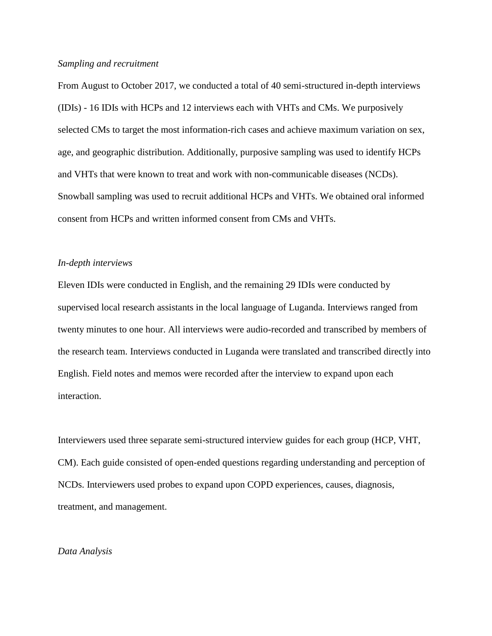## *Sampling and recruitment*

From August to October 2017, we conducted a total of 40 semi-structured in-depth interviews (IDIs) - 16 IDIs with HCPs and 12 interviews each with VHTs and CMs. We purposively selected CMs to target the most information-rich cases and achieve maximum variation on sex, age, and geographic distribution. Additionally, purposive sampling was used to identify HCPs and VHTs that were known to treat and work with non-communicable diseases (NCDs). Snowball sampling was used to recruit additional HCPs and VHTs. We obtained oral informed consent from HCPs and written informed consent from CMs and VHTs.

#### *In-depth interviews*

Eleven IDIs were conducted in English, and the remaining 29 IDIs were conducted by supervised local research assistants in the local language of Luganda. Interviews ranged from twenty minutes to one hour. All interviews were audio-recorded and transcribed by members of the research team. Interviews conducted in Luganda were translated and transcribed directly into English. Field notes and memos were recorded after the interview to expand upon each interaction.

Interviewers used three separate semi-structured interview guides for each group (HCP, VHT, CM). Each guide consisted of open-ended questions regarding understanding and perception of NCDs. Interviewers used probes to expand upon COPD experiences, causes, diagnosis, treatment, and management.

#### *Data Analysis*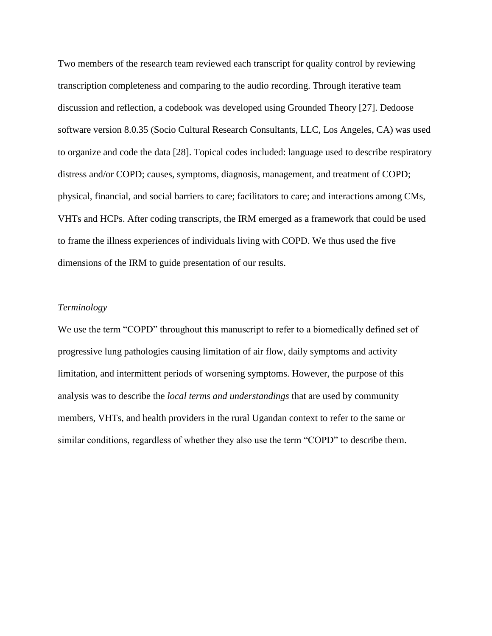Two members of the research team reviewed each transcript for quality control by reviewing transcription completeness and comparing to the audio recording. Through iterative team discussion and reflection, a codebook was developed using Grounded Theory [27]. Dedoose software version 8.0.35 (Socio Cultural Research Consultants, LLC, Los Angeles, CA) was used to organize and code the data [28]. Topical codes included: language used to describe respiratory distress and/or COPD; causes, symptoms, diagnosis, management, and treatment of COPD; physical, financial, and social barriers to care; facilitators to care; and interactions among CMs, VHTs and HCPs. After coding transcripts, the IRM emerged as a framework that could be used to frame the illness experiences of individuals living with COPD. We thus used the five dimensions of the IRM to guide presentation of our results.

### *Terminology*

We use the term "COPD" throughout this manuscript to refer to a biomedically defined set of progressive lung pathologies causing limitation of air flow, daily symptoms and activity limitation, and intermittent periods of worsening symptoms. However, the purpose of this analysis was to describe the *local terms and understandings* that are used by community members, VHTs, and health providers in the rural Ugandan context to refer to the same or similar conditions, regardless of whether they also use the term "COPD" to describe them.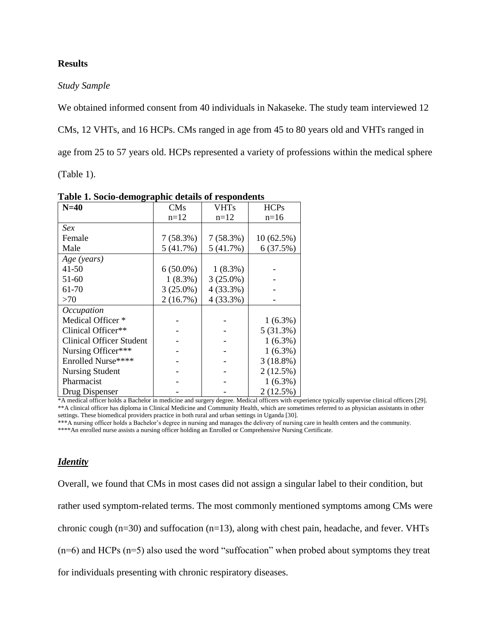## **Results**

## *Study Sample*

We obtained informed consent from 40 individuals in Nakaseke. The study team interviewed 12

CMs, 12 VHTs, and 16 HCPs. CMs ranged in age from 45 to 80 years old and VHTs ranged in

age from 25 to 57 years old. HCPs represented a variety of professions within the medical sphere

(Table 1).

| raoic reporto acinographic actans or respondents |             |             |             |
|--------------------------------------------------|-------------|-------------|-------------|
| $N=40$                                           | <b>CMs</b>  | <b>VHTs</b> | <b>HCPs</b> |
|                                                  | $n=12$      | $n=12$      | $n=16$      |
| <i>Sex</i>                                       |             |             |             |
| Female                                           | 7(58.3%)    | 7(58.3%)    | 10(62.5%)   |
| Male                                             | 5(41.7%)    | 5(41.7%)    | 6(37.5%)    |
| Age (years)                                      |             |             |             |
| 41-50                                            | $6(50.0\%)$ | $1(8.3\%)$  |             |
| 51-60                                            | $1(8.3\%)$  | $3(25.0\%)$ |             |
| 61-70                                            | $3(25.0\%)$ | $4(33.3\%)$ |             |
| >70                                              | 2(16.7%)    | $4(33.3\%)$ |             |
| Occupation                                       |             |             |             |
| Medical Officer <sup>*</sup>                     |             |             | $1(6.3\%)$  |
| Clinical Officer**                               |             |             | 5(31.3%)    |
| <b>Clinical Officer Student</b>                  |             |             | $1(6.3\%)$  |
| Nursing Officer***                               |             |             | $1(6.3\%)$  |
| Enrolled Nurse****                               |             |             | $3(18.8\%)$ |
| <b>Nursing Student</b>                           |             |             | $2(12.5\%)$ |
| Pharmacist                                       |             |             | $1(6.3\%)$  |
| Drug Dispenser                                   |             |             | $2(12.5\%)$ |

**Table 1. Socio-demographic details of respondents** 

\*A medical officer holds a Bachelor in medicine and surgery degree. Medical officers with experience typically supervise clinical officers [29]. \*\*A clinical officer has diploma in Clinical Medicine and Community Health, which are sometimes referred to as physician assistants in other settings. These biomedical providers practice in both rural and urban settings in Uganda [30].

\*\*\*A nursing officer holds a Bachelor's degree in nursing and manages the delivery of nursing care in health centers and the community.

\*\*\*\*An enrolled nurse assists a nursing officer holding an Enrolled or Comprehensive Nursing Certificate.

## *Identity*

Overall, we found that CMs in most cases did not assign a singular label to their condition, but rather used symptom-related terms. The most commonly mentioned symptoms among CMs were chronic cough  $(n=30)$  and suffocation  $(n=13)$ , along with chest pain, headache, and fever. VHTs  $(n=6)$  and HCPs  $(n=5)$  also used the word "suffocation" when probed about symptoms they treat for individuals presenting with chronic respiratory diseases.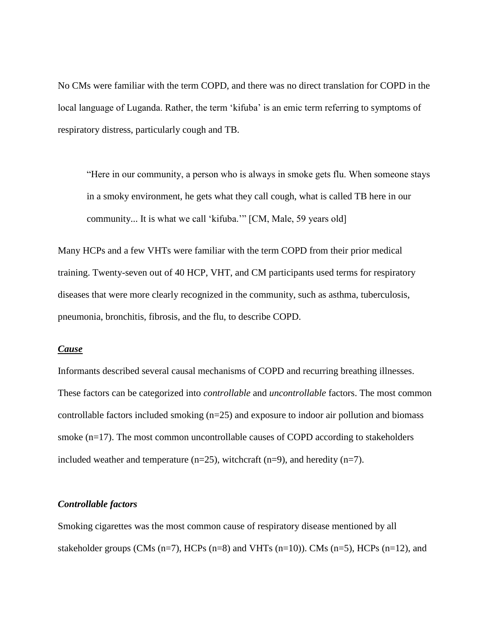No CMs were familiar with the term COPD, and there was no direct translation for COPD in the local language of Luganda. Rather, the term 'kifuba' is an emic term referring to symptoms of respiratory distress, particularly cough and TB.

"Here in our community, a person who is always in smoke gets flu. When someone stays in a smoky environment, he gets what they call cough, what is called TB here in our community... It is what we call 'kifuba.'" [CM, Male, 59 years old]

Many HCPs and a few VHTs were familiar with the term COPD from their prior medical training. Twenty-seven out of 40 HCP, VHT, and CM participants used terms for respiratory diseases that were more clearly recognized in the community, such as asthma, tuberculosis, pneumonia, bronchitis, fibrosis, and the flu, to describe COPD.

## *Cause*

Informants described several causal mechanisms of COPD and recurring breathing illnesses. These factors can be categorized into *controllable* and *uncontrollable* factors. The most common controllable factors included smoking (n=25) and exposure to indoor air pollution and biomass smoke (n=17). The most common uncontrollable causes of COPD according to stakeholders included weather and temperature (n=25), witchcraft (n=9), and heredity (n=7).

### *Controllable factors*

Smoking cigarettes was the most common cause of respiratory disease mentioned by all stakeholder groups (CMs  $(n=7)$ , HCPs  $(n=8)$  and VHTs  $(n=10)$ ). CMs  $(n=5)$ , HCPs  $(n=12)$ , and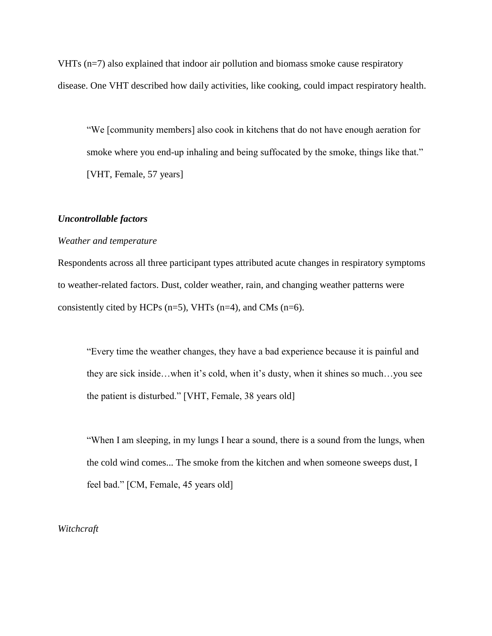VHTs (n=7) also explained that indoor air pollution and biomass smoke cause respiratory disease. One VHT described how daily activities, like cooking, could impact respiratory health.

"We [community members] also cook in kitchens that do not have enough aeration for smoke where you end-up inhaling and being suffocated by the smoke, things like that." [VHT, Female, 57 years]

### *Uncontrollable factors*

### *Weather and temperature*

Respondents across all three participant types attributed acute changes in respiratory symptoms to weather-related factors. Dust, colder weather, rain, and changing weather patterns were consistently cited by HCPs  $(n=5)$ , VHTs  $(n=4)$ , and CMs  $(n=6)$ .

"Every time the weather changes, they have a bad experience because it is painful and they are sick inside…when it's cold, when it's dusty, when it shines so much…you see the patient is disturbed." [VHT, Female, 38 years old]

"When I am sleeping, in my lungs I hear a sound, there is a sound from the lungs, when the cold wind comes... The smoke from the kitchen and when someone sweeps dust, I feel bad." [CM, Female, 45 years old]

*Witchcraft*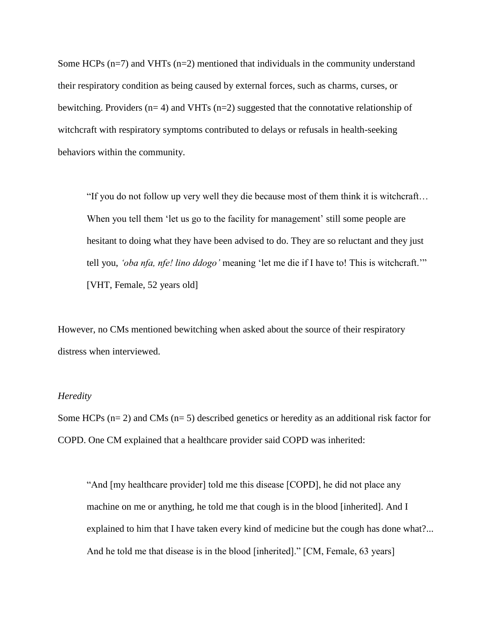Some HCPs  $(n=7)$  and VHTs  $(n=2)$  mentioned that individuals in the community understand their respiratory condition as being caused by external forces, such as charms, curses, or bewitching. Providers ( $n=4$ ) and VHTs ( $n=2$ ) suggested that the connotative relationship of witchcraft with respiratory symptoms contributed to delays or refusals in health-seeking behaviors within the community.

"If you do not follow up very well they die because most of them think it is witchcraft… When you tell them 'let us go to the facility for management' still some people are hesitant to doing what they have been advised to do. They are so reluctant and they just tell you, *'oba nfa, nfe! lino ddogo'* meaning 'let me die if I have to! This is witchcraft.'" [VHT, Female, 52 years old]

However, no CMs mentioned bewitching when asked about the source of their respiratory distress when interviewed.

### *Heredity*

Some HCPs ( $n= 2$ ) and CMs ( $n= 5$ ) described genetics or heredity as an additional risk factor for COPD. One CM explained that a healthcare provider said COPD was inherited:

"And [my healthcare provider] told me this disease [COPD], he did not place any machine on me or anything, he told me that cough is in the blood [inherited]. And I explained to him that I have taken every kind of medicine but the cough has done what?... And he told me that disease is in the blood [inherited]." [CM, Female, 63 years]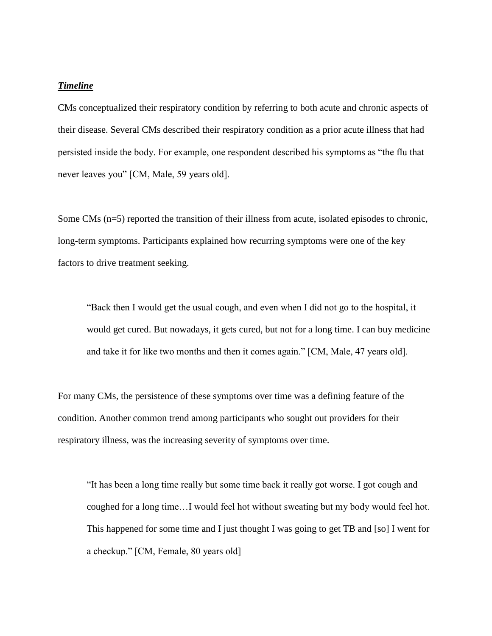## *Timeline*

CMs conceptualized their respiratory condition by referring to both acute and chronic aspects of their disease. Several CMs described their respiratory condition as a prior acute illness that had persisted inside the body. For example, one respondent described his symptoms as "the flu that never leaves you" [CM, Male, 59 years old].

Some CMs (n=5) reported the transition of their illness from acute, isolated episodes to chronic, long-term symptoms. Participants explained how recurring symptoms were one of the key factors to drive treatment seeking.

"Back then I would get the usual cough, and even when I did not go to the hospital, it would get cured. But nowadays, it gets cured, but not for a long time. I can buy medicine and take it for like two months and then it comes again." [CM, Male, 47 years old].

For many CMs, the persistence of these symptoms over time was a defining feature of the condition. Another common trend among participants who sought out providers for their respiratory illness, was the increasing severity of symptoms over time.

"It has been a long time really but some time back it really got worse. I got cough and coughed for a long time…I would feel hot without sweating but my body would feel hot. This happened for some time and I just thought I was going to get TB and [so] I went for a checkup." [CM, Female, 80 years old]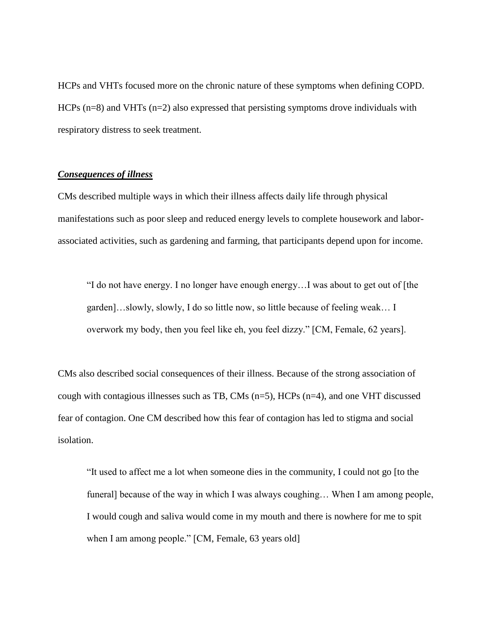HCPs and VHTs focused more on the chronic nature of these symptoms when defining COPD. HCPs (n=8) and VHTs (n=2) also expressed that persisting symptoms drove individuals with respiratory distress to seek treatment.

## *Consequences of illness*

CMs described multiple ways in which their illness affects daily life through physical manifestations such as poor sleep and reduced energy levels to complete housework and laborassociated activities, such as gardening and farming, that participants depend upon for income.

"I do not have energy. I no longer have enough energy…I was about to get out of [the garden]…slowly, slowly, I do so little now, so little because of feeling weak… I overwork my body, then you feel like eh, you feel dizzy." [CM, Female, 62 years].

CMs also described social consequences of their illness. Because of the strong association of cough with contagious illnesses such as TB, CMs  $(n=5)$ , HCPs  $(n=4)$ , and one VHT discussed fear of contagion. One CM described how this fear of contagion has led to stigma and social isolation.

"It used to affect me a lot when someone dies in the community, I could not go [to the funeral] because of the way in which I was always coughing… When I am among people, I would cough and saliva would come in my mouth and there is nowhere for me to spit when I am among people." [CM, Female, 63 years old]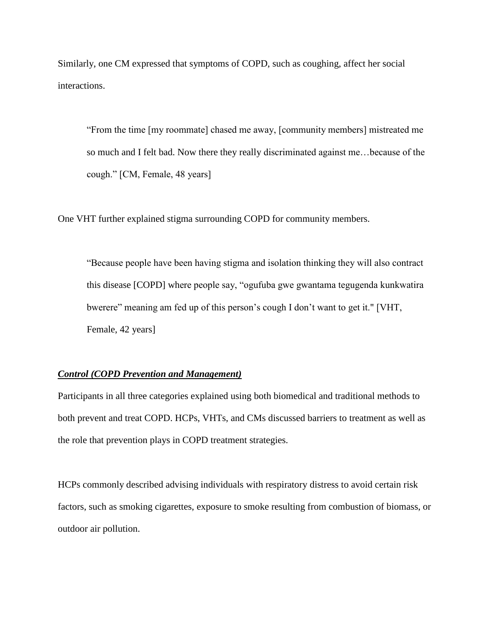Similarly, one CM expressed that symptoms of COPD, such as coughing, affect her social interactions.

"From the time [my roommate] chased me away, [community members] mistreated me so much and I felt bad. Now there they really discriminated against me…because of the cough." [CM, Female, 48 years]

One VHT further explained stigma surrounding COPD for community members.

"Because people have been having stigma and isolation thinking they will also contract this disease [COPD] where people say, "ogufuba gwe gwantama tegugenda kunkwatira bwerere" meaning am fed up of this person's cough I don't want to get it." [VHT, Female, 42 years]

## *Control (COPD Prevention and Management)*

Participants in all three categories explained using both biomedical and traditional methods to both prevent and treat COPD. HCPs, VHTs, and CMs discussed barriers to treatment as well as the role that prevention plays in COPD treatment strategies.

HCPs commonly described advising individuals with respiratory distress to avoid certain risk factors, such as smoking cigarettes, exposure to smoke resulting from combustion of biomass, or outdoor air pollution.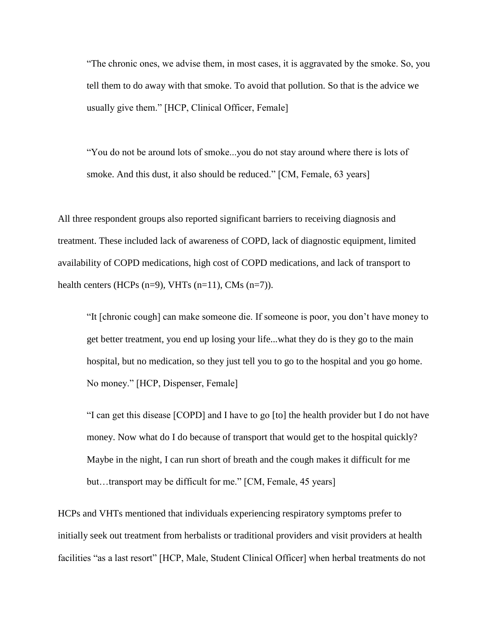"The chronic ones, we advise them, in most cases, it is aggravated by the smoke. So, you tell them to do away with that smoke. To avoid that pollution. So that is the advice we usually give them." [HCP, Clinical Officer, Female]

"You do not be around lots of smoke...you do not stay around where there is lots of smoke. And this dust, it also should be reduced." [CM, Female, 63 years]

All three respondent groups also reported significant barriers to receiving diagnosis and treatment. These included lack of awareness of COPD, lack of diagnostic equipment, limited availability of COPD medications, high cost of COPD medications, and lack of transport to health centers (HCPs  $(n=9)$ , VHTs  $(n=11)$ , CMs  $(n=7)$ ).

"It [chronic cough] can make someone die. If someone is poor, you don't have money to get better treatment, you end up losing your life...what they do is they go to the main hospital, but no medication, so they just tell you to go to the hospital and you go home. No money." [HCP, Dispenser, Female]

"I can get this disease [COPD] and I have to go [to] the health provider but I do not have money. Now what do I do because of transport that would get to the hospital quickly? Maybe in the night, I can run short of breath and the cough makes it difficult for me but…transport may be difficult for me." [CM, Female, 45 years]

HCPs and VHTs mentioned that individuals experiencing respiratory symptoms prefer to initially seek out treatment from herbalists or traditional providers and visit providers at health facilities "as a last resort" [HCP, Male, Student Clinical Officer] when herbal treatments do not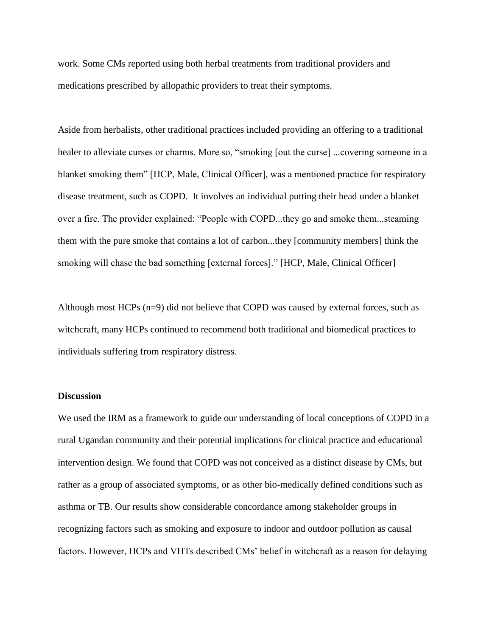work. Some CMs reported using both herbal treatments from traditional providers and medications prescribed by allopathic providers to treat their symptoms.

Aside from herbalists, other traditional practices included providing an offering to a traditional healer to alleviate curses or charms. More so, "smoking [out the curse] ...covering someone in a blanket smoking them" [HCP, Male, Clinical Officer], was a mentioned practice for respiratory disease treatment, such as COPD. It involves an individual putting their head under a blanket over a fire. The provider explained: "People with COPD...they go and smoke them...steaming them with the pure smoke that contains a lot of carbon...they [community members] think the smoking will chase the bad something [external forces]." [HCP, Male, Clinical Officer]

Although most HCPs (n=9) did not believe that COPD was caused by external forces, such as witchcraft, many HCPs continued to recommend both traditional and biomedical practices to individuals suffering from respiratory distress.

### **Discussion**

We used the IRM as a framework to guide our understanding of local conceptions of COPD in a rural Ugandan community and their potential implications for clinical practice and educational intervention design. We found that COPD was not conceived as a distinct disease by CMs, but rather as a group of associated symptoms, or as other bio-medically defined conditions such as asthma or TB. Our results show considerable concordance among stakeholder groups in recognizing factors such as smoking and exposure to indoor and outdoor pollution as causal factors. However, HCPs and VHTs described CMs' belief in witchcraft as a reason for delaying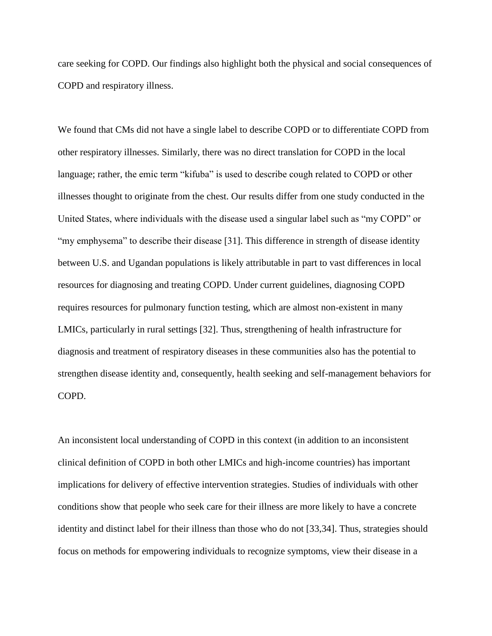care seeking for COPD. Our findings also highlight both the physical and social consequences of COPD and respiratory illness.

We found that CMs did not have a single label to describe COPD or to differentiate COPD from other respiratory illnesses. Similarly, there was no direct translation for COPD in the local language; rather, the emic term "kifuba" is used to describe cough related to COPD or other illnesses thought to originate from the chest. Our results differ from one study conducted in the United States, where individuals with the disease used a singular label such as "my COPD" or "my emphysema" to describe their disease [31]. This difference in strength of disease identity between U.S. and Ugandan populations is likely attributable in part to vast differences in local resources for diagnosing and treating COPD. Under current guidelines, diagnosing COPD requires resources for pulmonary function testing, which are almost non-existent in many LMICs, particularly in rural settings [32]. Thus, strengthening of health infrastructure for diagnosis and treatment of respiratory diseases in these communities also has the potential to strengthen disease identity and, consequently, health seeking and self-management behaviors for COPD.

An inconsistent local understanding of COPD in this context (in addition to an inconsistent clinical definition of COPD in both other LMICs and high-income countries) has important implications for delivery of effective intervention strategies. Studies of individuals with other conditions show that people who seek care for their illness are more likely to have a concrete identity and distinct label for their illness than those who do not [33,34]. Thus, strategies should focus on methods for empowering individuals to recognize symptoms, view their disease in a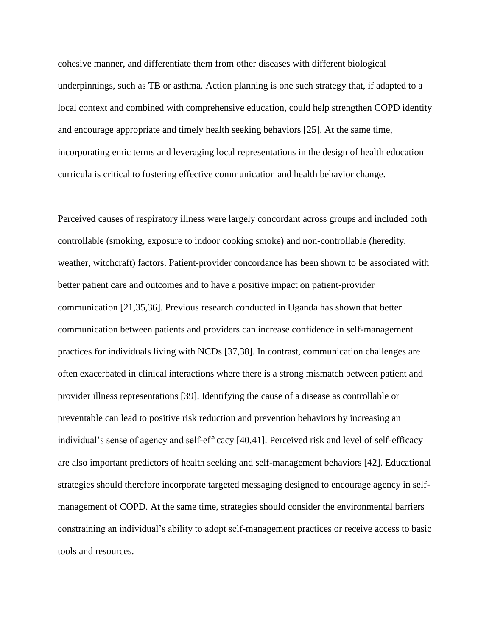cohesive manner, and differentiate them from other diseases with different biological underpinnings, such as TB or asthma. Action planning is one such strategy that, if adapted to a local context and combined with comprehensive education, could help strengthen COPD identity and encourage appropriate and timely health seeking behaviors [25]. At the same time, incorporating emic terms and leveraging local representations in the design of health education curricula is critical to fostering effective communication and health behavior change.

Perceived causes of respiratory illness were largely concordant across groups and included both controllable (smoking, exposure to indoor cooking smoke) and non-controllable (heredity, weather, witchcraft) factors. Patient-provider concordance has been shown to be associated with better patient care and outcomes and to have a positive impact on patient-provider communication [21,35,36]. Previous research conducted in Uganda has shown that better communication between patients and providers can increase confidence in self-management practices for individuals living with NCDs [37,38]. In contrast, communication challenges are often exacerbated in clinical interactions where there is a strong mismatch between patient and provider illness representations [39]. Identifying the cause of a disease as controllable or preventable can lead to positive risk reduction and prevention behaviors by increasing an individual's sense of agency and self-efficacy [40,41]. Perceived risk and level of self-efficacy are also important predictors of health seeking and self-management behaviors [42]. Educational strategies should therefore incorporate targeted messaging designed to encourage agency in selfmanagement of COPD. At the same time, strategies should consider the environmental barriers constraining an individual's ability to adopt self-management practices or receive access to basic tools and resources.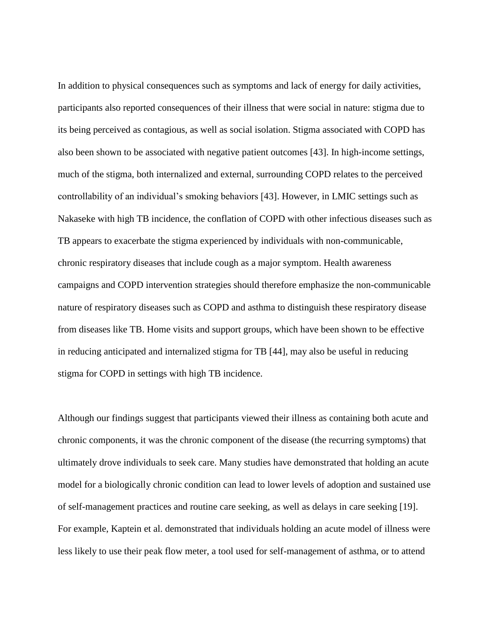In addition to physical consequences such as symptoms and lack of energy for daily activities, participants also reported consequences of their illness that were social in nature: stigma due to its being perceived as contagious, as well as social isolation. Stigma associated with COPD has also been shown to be associated with negative patient outcomes [43]. In high-income settings, much of the stigma, both internalized and external, surrounding COPD relates to the perceived controllability of an individual's smoking behaviors [43]. However, in LMIC settings such as Nakaseke with high TB incidence, the conflation of COPD with other infectious diseases such as TB appears to exacerbate the stigma experienced by individuals with non-communicable, chronic respiratory diseases that include cough as a major symptom. Health awareness campaigns and COPD intervention strategies should therefore emphasize the non-communicable nature of respiratory diseases such as COPD and asthma to distinguish these respiratory disease from diseases like TB. Home visits and support groups, which have been shown to be effective in reducing anticipated and internalized stigma for TB [44], may also be useful in reducing stigma for COPD in settings with high TB incidence.

Although our findings suggest that participants viewed their illness as containing both acute and chronic components, it was the chronic component of the disease (the recurring symptoms) that ultimately drove individuals to seek care. Many studies have demonstrated that holding an acute model for a biologically chronic condition can lead to lower levels of adoption and sustained use of self-management practices and routine care seeking, as well as delays in care seeking [19]. For example, Kaptein et al. demonstrated that individuals holding an acute model of illness were less likely to use their peak flow meter, a tool used for self-management of asthma, or to attend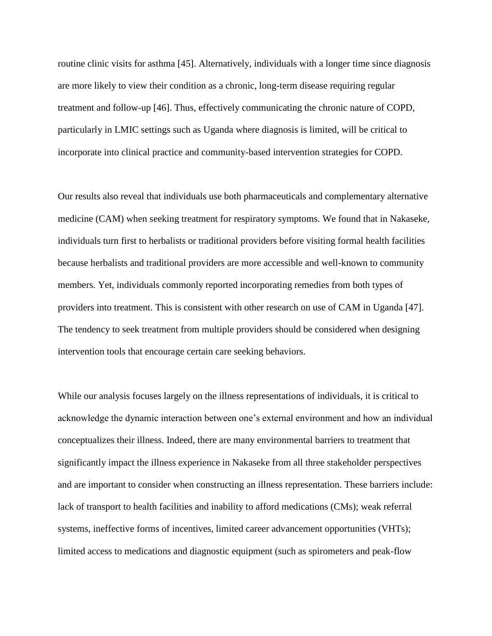routine clinic visits for asthma [45]. Alternatively, individuals with a longer time since diagnosis are more likely to view their condition as a chronic, long-term disease requiring regular treatment and follow-up [46]. Thus, effectively communicating the chronic nature of COPD, particularly in LMIC settings such as Uganda where diagnosis is limited, will be critical to incorporate into clinical practice and community-based intervention strategies for COPD.

Our results also reveal that individuals use both pharmaceuticals and complementary alternative medicine (CAM) when seeking treatment for respiratory symptoms. We found that in Nakaseke, individuals turn first to herbalists or traditional providers before visiting formal health facilities because herbalists and traditional providers are more accessible and well-known to community members. Yet, individuals commonly reported incorporating remedies from both types of providers into treatment. This is consistent with other research on use of CAM in Uganda [47]. The tendency to seek treatment from multiple providers should be considered when designing intervention tools that encourage certain care seeking behaviors.

While our analysis focuses largely on the illness representations of individuals, it is critical to acknowledge the dynamic interaction between one's external environment and how an individual conceptualizes their illness. Indeed, there are many environmental barriers to treatment that significantly impact the illness experience in Nakaseke from all three stakeholder perspectives and are important to consider when constructing an illness representation. These barriers include: lack of transport to health facilities and inability to afford medications (CMs); weak referral systems, ineffective forms of incentives, limited career advancement opportunities (VHTs); limited access to medications and diagnostic equipment (such as spirometers and peak-flow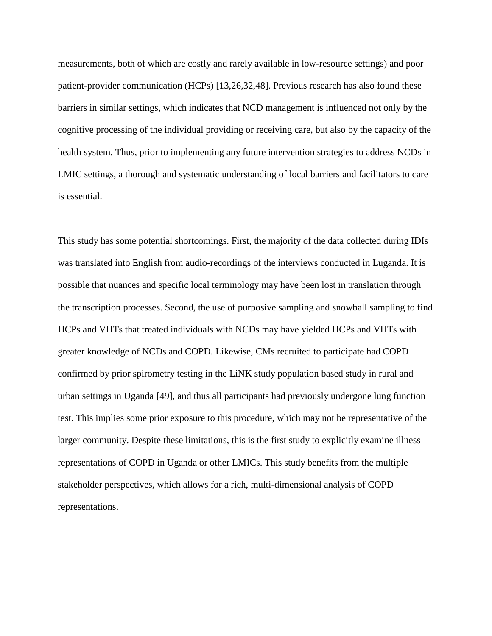measurements, both of which are costly and rarely available in low-resource settings) and poor patient-provider communication (HCPs) [13,26,32,48]. Previous research has also found these barriers in similar settings, which indicates that NCD management is influenced not only by the cognitive processing of the individual providing or receiving care, but also by the capacity of the health system. Thus, prior to implementing any future intervention strategies to address NCDs in LMIC settings, a thorough and systematic understanding of local barriers and facilitators to care is essential.

This study has some potential shortcomings. First, the majority of the data collected during IDIs was translated into English from audio-recordings of the interviews conducted in Luganda. It is possible that nuances and specific local terminology may have been lost in translation through the transcription processes. Second, the use of purposive sampling and snowball sampling to find HCPs and VHTs that treated individuals with NCDs may have yielded HCPs and VHTs with greater knowledge of NCDs and COPD. Likewise, CMs recruited to participate had COPD confirmed by prior spirometry testing in the LiNK study population based study in rural and urban settings in Uganda [49], and thus all participants had previously undergone lung function test. This implies some prior exposure to this procedure, which may not be representative of the larger community. Despite these limitations, this is the first study to explicitly examine illness representations of COPD in Uganda or other LMICs. This study benefits from the multiple stakeholder perspectives, which allows for a rich, multi-dimensional analysis of COPD representations.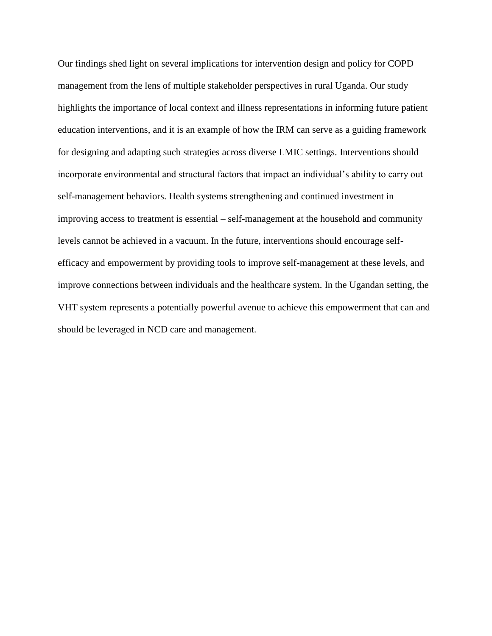Our findings shed light on several implications for intervention design and policy for COPD management from the lens of multiple stakeholder perspectives in rural Uganda. Our study highlights the importance of local context and illness representations in informing future patient education interventions, and it is an example of how the IRM can serve as a guiding framework for designing and adapting such strategies across diverse LMIC settings. Interventions should incorporate environmental and structural factors that impact an individual's ability to carry out self-management behaviors. Health systems strengthening and continued investment in improving access to treatment is essential – self-management at the household and community levels cannot be achieved in a vacuum. In the future, interventions should encourage selfefficacy and empowerment by providing tools to improve self-management at these levels, and improve connections between individuals and the healthcare system. In the Ugandan setting, the VHT system represents a potentially powerful avenue to achieve this empowerment that can and should be leveraged in NCD care and management.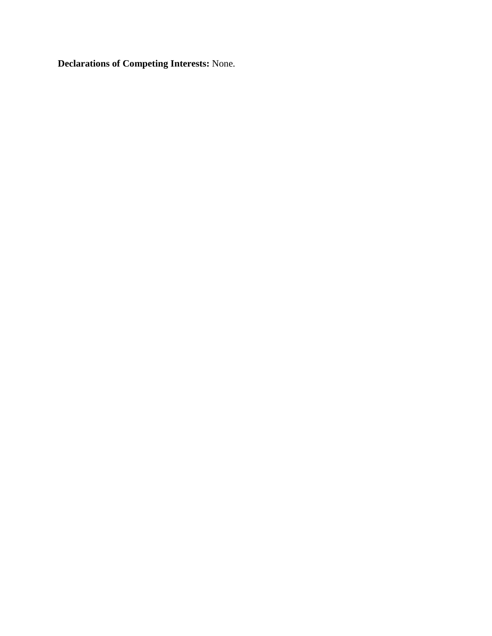**Declarations of Competing Interests:** None.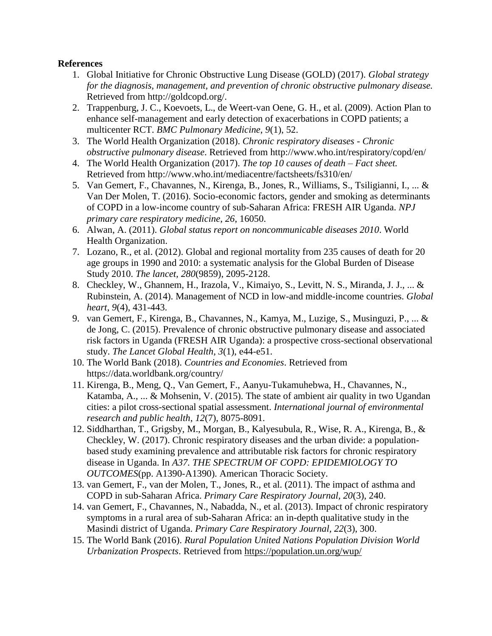# **References**

- 1. Global Initiative for Chronic Obstructive Lung Disease (GOLD) (2017). *Global strategy for the diagnosis, management, and prevention of chronic obstructive pulmonary disease.* Retrieved from http://goldcopd.org/.
- 2. Trappenburg, J. C., Koevoets, L., de Weert-van Oene, G. H., et al. (2009). Action Plan to enhance self-management and early detection of exacerbations in COPD patients; a multicenter RCT. *BMC Pulmonary Medicine*, *9*(1), 52.
- 3. The World Health Organization (2018). *Chronic respiratory diseases - Chronic obstructive pulmonary disease*. Retrieved from http://www.who.int/respiratory/copd/en/
- 4. The World Health Organization (2017). *The top 10 causes of death – Fact sheet.* Retrieved from http://www.who.int/mediacentre/factsheets/fs310/en/
- 5. Van Gemert, F., Chavannes, N., Kirenga, B., Jones, R., Williams, S., Tsiligianni, I., ... & Van Der Molen, T. (2016). Socio-economic factors, gender and smoking as determinants of COPD in a low-income country of sub-Saharan Africa: FRESH AIR Uganda. *NPJ primary care respiratory medicine*, *26*, 16050.
- 6. Alwan, A. (2011). *Global status report on noncommunicable diseases 2010*. World Health Organization.
- 7. Lozano, R., et al. (2012). Global and regional mortality from 235 causes of death for 20 age groups in 1990 and 2010: a systematic analysis for the Global Burden of Disease Study 2010. *The lancet, 280*(9859), 2095-2128.
- 8. Checkley, W., Ghannem, H., Irazola, V., Kimaiyo, S., Levitt, N. S., Miranda, J. J., ... & Rubinstein, A. (2014). Management of NCD in low-and middle-income countries. *Global heart*, *9*(4), 431-443.
- 9. van Gemert, F., Kirenga, B., Chavannes, N., Kamya, M., Luzige, S., Musinguzi, P., ... & de Jong, C. (2015). Prevalence of chronic obstructive pulmonary disease and associated risk factors in Uganda (FRESH AIR Uganda): a prospective cross-sectional observational study. *The Lancet Global Health*, *3*(1), e44-e51.
- 10. The World Bank (2018). *Countries and Economies*. Retrieved from https://data.worldbank.org/country/
- 11. Kirenga, B., Meng, Q., Van Gemert, F., Aanyu-Tukamuhebwa, H., Chavannes, N., Katamba, A., ... & Mohsenin, V. (2015). The state of ambient air quality in two Ugandan cities: a pilot cross-sectional spatial assessment. *International journal of environmental research and public health*, *12*(7), 8075-8091.
- 12. Siddharthan, T., Grigsby, M., Morgan, B., Kalyesubula, R., Wise, R. A., Kirenga, B., & Checkley, W. (2017). Chronic respiratory diseases and the urban divide: a populationbased study examining prevalence and attributable risk factors for chronic respiratory disease in Uganda. In *A37. THE SPECTRUM OF COPD: EPIDEMIOLOGY TO OUTCOMES*(pp. A1390-A1390). American Thoracic Society.
- 13. van Gemert, F., van der Molen, T., Jones, R., et al. (2011). The impact of asthma and COPD in sub-Saharan Africa. *Primary Care Respiratory Journal, 20*(3), 240.
- 14. van Gemert, F., Chavannes, N., Nabadda, N., et al. (2013). Impact of chronic respiratory symptoms in a rural area of sub-Saharan Africa: an in-depth qualitative study in the Masindi district of Uganda. *Primary Care Respiratory Journal, 22*(3), 300.
- 15. The World Bank (2016). *Rural Population United Nations Population Division World Urbanization Prospects*. Retrieved from<https://population.un.org/wup/>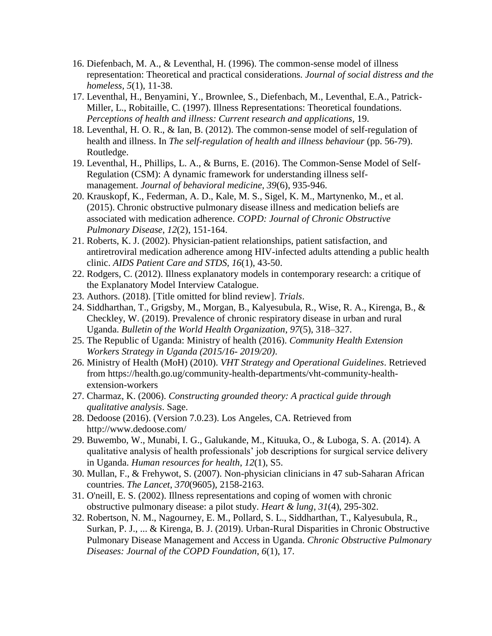- 16. Diefenbach, M. A., & Leventhal, H. (1996). The common-sense model of illness representation: Theoretical and practical considerations*. Journal of social distress and the homeless, 5*(1), 11-38.
- 17. Leventhal, H., Benyamini, Y., Brownlee, S., Diefenbach, M., Leventhal, E.A., Patrick-Miller, L., Robitaille, C. (1997). Illness Representations: Theoretical foundations. *Perceptions of health and illness: Current research and applications,* 19.
- 18. Leventhal, H. O. R., & Ian, B. (2012). The common-sense model of self-regulation of health and illness. In *The self-regulation of health and illness behaviour* (pp. 56-79). Routledge.
- 19. Leventhal, H., Phillips, L. A., & Burns, E. (2016). The Common-Sense Model of Self-Regulation (CSM): A dynamic framework for understanding illness selfmanagement. *Journal of behavioral medicine*, *39*(6), 935-946.
- 20. Krauskopf, K., Federman, A. D., Kale, M. S., Sigel, K. M., Martynenko, M., et al. (2015). Chronic obstructive pulmonary disease illness and medication beliefs are associated with medication adherence. *COPD: Journal of Chronic Obstructive Pulmonary Disease*, *12*(2), 151-164.
- 21. Roberts, K. J. (2002). Physician-patient relationships, patient satisfaction, and antiretroviral medication adherence among HIV-infected adults attending a public health clinic. *AIDS Patient Care and STDS, 16*(1), 43-50.
- 22. Rodgers, C. (2012). Illness explanatory models in contemporary research: a critique of the Explanatory Model Interview Catalogue.
- 23. Authors. (2018). [Title omitted for blind review]. *Trials*.
- 24. Siddharthan, T., Grigsby, M., Morgan, B., Kalyesubula, R., Wise, R. A., Kirenga, B., & Checkley, W. (2019). Prevalence of chronic respiratory disease in urban and rural Uganda. *Bulletin of the World Health Organization*, *97*(5), 318–327.
- 25. The Republic of Uganda: Ministry of health (2016). *Community Health Extension Workers Strategy in Uganda (2015/16- 2019/20)*.
- 26. Ministry of Health (MoH) (2010). *VHT Strategy and Operational Guidelines*. Retrieved from https://health.go.ug/community-health-departments/vht-community-healthextension-workers
- 27. Charmaz, K. (2006). *Constructing grounded theory: A practical guide through qualitative analysis*. Sage.
- 28. Dedoose (2016). (Version 7.0.23). Los Angeles, CA. Retrieved from http://www.dedoose.com/
- 29. Buwembo, W., Munabi, I. G., Galukande, M., Kituuka, O., & Luboga, S. A. (2014). A qualitative analysis of health professionals' job descriptions for surgical service delivery in Uganda. *Human resources for health*, *12*(1), S5.
- 30. Mullan, F., & Frehywot, S. (2007). Non-physician clinicians in 47 sub-Saharan African countries. *The Lancet*, *370*(9605), 2158-2163.
- 31. O'neill, E. S. (2002). Illness representations and coping of women with chronic obstructive pulmonary disease: a pilot study. *Heart & lung*, *31*(4), 295-302.
- 32. Robertson, N. M., Nagourney, E. M., Pollard, S. L., Siddharthan, T., Kalyesubula, R., Surkan, P. J., ... & Kirenga, B. J. (2019). Urban-Rural Disparities in Chronic Obstructive Pulmonary Disease Management and Access in Uganda. *Chronic Obstructive Pulmonary Diseases: Journal of the COPD Foundation*, *6*(1), 17.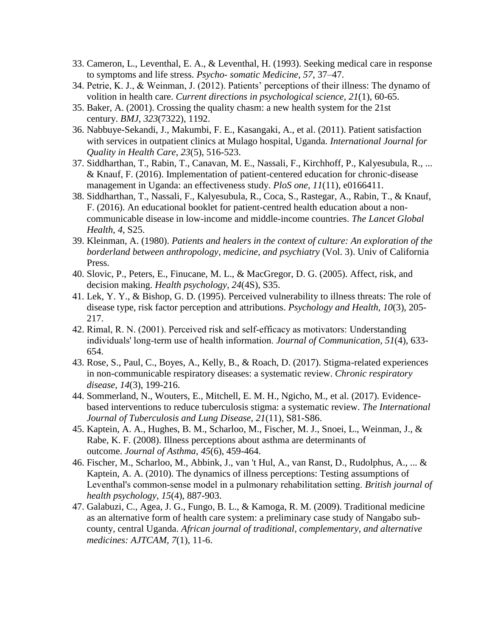- 33. Cameron, L., Leventhal, E. A., & Leventhal, H. (1993). Seeking medical care in response to symptoms and life stress. *Psycho- somatic Medicine, 57*, 37–47.
- 34. Petrie, K. J., & Weinman, J. (2012). Patients' perceptions of their illness: The dynamo of volition in health care. *Current directions in psychological science, 21*(1), 60-65.
- 35. Baker, A. (2001). Crossing the quality chasm: a new health system for the 21st century. *BMJ*, *323*(7322), 1192.
- 36. Nabbuye-Sekandi, J., Makumbi, F. E., Kasangaki, A., et al. (2011). Patient satisfaction with services in outpatient clinics at Mulago hospital, Uganda. *International Journal for Quality in Health Care*, *23*(5), 516-523.
- 37. Siddharthan, T., Rabin, T., Canavan, M. E., Nassali, F., Kirchhoff, P., Kalyesubula, R., ... & Knauf, F. (2016). Implementation of patient-centered education for chronic-disease management in Uganda: an effectiveness study. *PloS one*, *11*(11), e0166411.
- 38. Siddharthan, T., Nassali, F., Kalyesubula, R., Coca, S., Rastegar, A., Rabin, T., & Knauf, F. (2016). An educational booklet for patient-centred health education about a noncommunicable disease in low-income and middle-income countries. *The Lancet Global Health*, *4*, S25.
- 39. Kleinman, A. (1980). *Patients and healers in the context of culture: An exploration of the borderland between anthropology, medicine, and psychiatry* (Vol. 3). Univ of California Press.
- 40. Slovic, P., Peters, E., Finucane, M. L., & MacGregor, D. G. (2005). Affect, risk, and decision making. *Health psychology, 24*(4S), S35.
- 41. Lek, Y. Y., & Bishop, G. D. (1995). Perceived vulnerability to illness threats: The role of disease type, risk factor perception and attributions. *Psychology and Health, 10*(3), 205- 217.
- 42. Rimal, R. N. (2001). Perceived risk and self-efficacy as motivators: Understanding individuals' long‐term use of health information. *Journal of Communication*, *51*(4), 633- 654.
- 43. Rose, S., Paul, C., Boyes, A., Kelly, B., & Roach, D. (2017). Stigma-related experiences in non-communicable respiratory diseases: a systematic review. *Chronic respiratory disease*, *14*(3), 199-216.
- 44. Sommerland, N., Wouters, E., Mitchell, E. M. H., Ngicho, M., et al. (2017). Evidencebased interventions to reduce tuberculosis stigma: a systematic review. *The International Journal of Tuberculosis and Lung Disease*, *21*(11), S81-S86.
- 45. Kaptein, A. A., Hughes, B. M., Scharloo, M., Fischer, M. J., Snoei, L., Weinman, J., & Rabe, K. F. (2008). Illness perceptions about asthma are determinants of outcome. *Journal of Asthma*, *45*(6), 459-464.
- 46. Fischer, M., Scharloo, M., Abbink, J., van 't Hul, A., van Ranst, D., Rudolphus, A., ... & Kaptein, A. A. (2010). The dynamics of illness perceptions: Testing assumptions of Leventhal's common‐sense model in a pulmonary rehabilitation setting. *British journal of health psychology*, *15*(4), 887-903.
- 47. Galabuzi, C., Agea, J. G., Fungo, B. L., & Kamoga, R. M. (2009). Traditional medicine as an alternative form of health care system: a preliminary case study of Nangabo subcounty, central Uganda. *African journal of traditional, complementary, and alternative medicines: AJTCAM, 7*(1), 11-6.